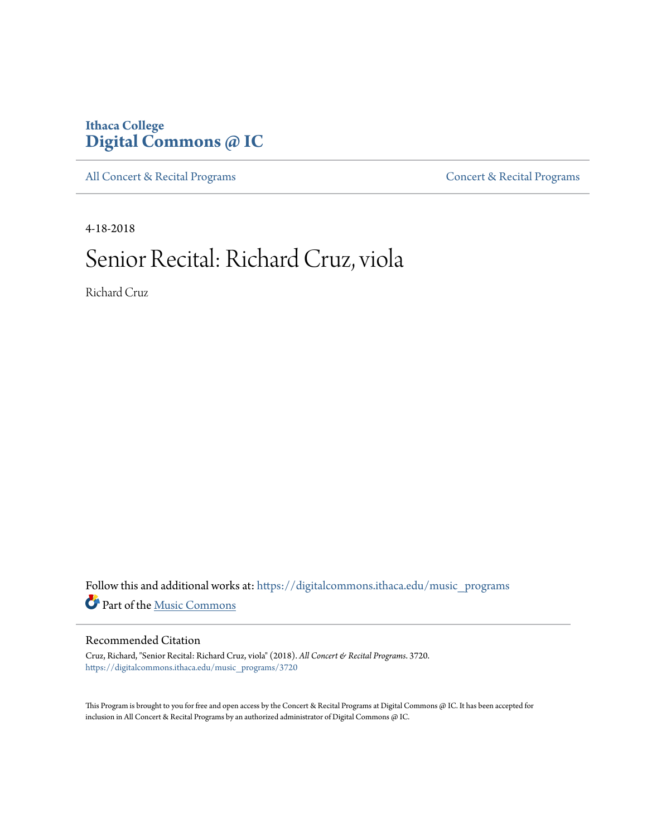## **Ithaca College [Digital Commons @ IC](https://digitalcommons.ithaca.edu?utm_source=digitalcommons.ithaca.edu%2Fmusic_programs%2F3720&utm_medium=PDF&utm_campaign=PDFCoverPages)**

[All Concert & Recital Programs](https://digitalcommons.ithaca.edu/music_programs?utm_source=digitalcommons.ithaca.edu%2Fmusic_programs%2F3720&utm_medium=PDF&utm_campaign=PDFCoverPages) **[Concert & Recital Programs](https://digitalcommons.ithaca.edu/som_programs?utm_source=digitalcommons.ithaca.edu%2Fmusic_programs%2F3720&utm_medium=PDF&utm_campaign=PDFCoverPages)** 

4-18-2018

# Senior Recital: Richard Cruz, viola

Richard Cruz

Follow this and additional works at: [https://digitalcommons.ithaca.edu/music\\_programs](https://digitalcommons.ithaca.edu/music_programs?utm_source=digitalcommons.ithaca.edu%2Fmusic_programs%2F3720&utm_medium=PDF&utm_campaign=PDFCoverPages) Part of the [Music Commons](http://network.bepress.com/hgg/discipline/518?utm_source=digitalcommons.ithaca.edu%2Fmusic_programs%2F3720&utm_medium=PDF&utm_campaign=PDFCoverPages)

#### Recommended Citation

Cruz, Richard, "Senior Recital: Richard Cruz, viola" (2018). *All Concert & Recital Programs*. 3720. [https://digitalcommons.ithaca.edu/music\\_programs/3720](https://digitalcommons.ithaca.edu/music_programs/3720?utm_source=digitalcommons.ithaca.edu%2Fmusic_programs%2F3720&utm_medium=PDF&utm_campaign=PDFCoverPages)

This Program is brought to you for free and open access by the Concert & Recital Programs at Digital Commons @ IC. It has been accepted for inclusion in All Concert & Recital Programs by an authorized administrator of Digital Commons @ IC.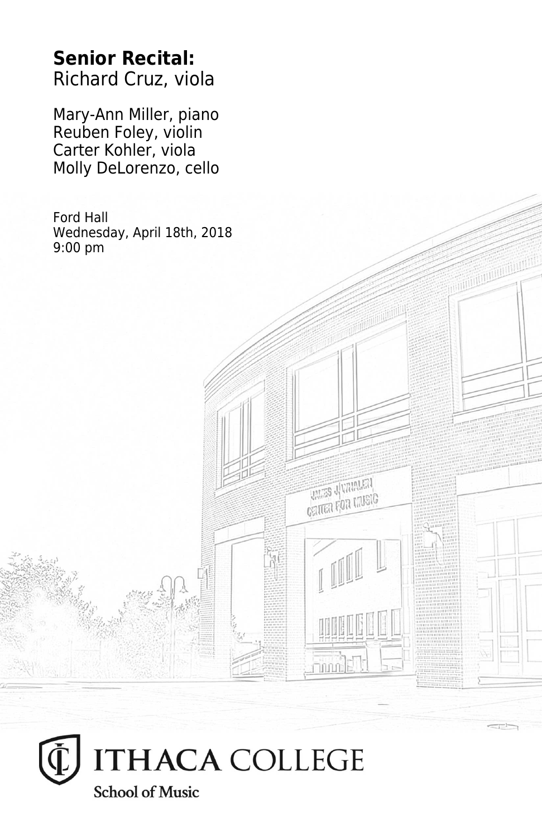## **Senior Recital:** Richard Cruz, viola

Mary-Ann Miller, piano Reuben Foley, violin Carter Kohler, viola Molly DeLorenzo, cello

Ford Hall Wednesday, April 18th, 2018 9:00 pm

**THES JUVANIEN CRITER FOR LIVEIG** 

**Thum**